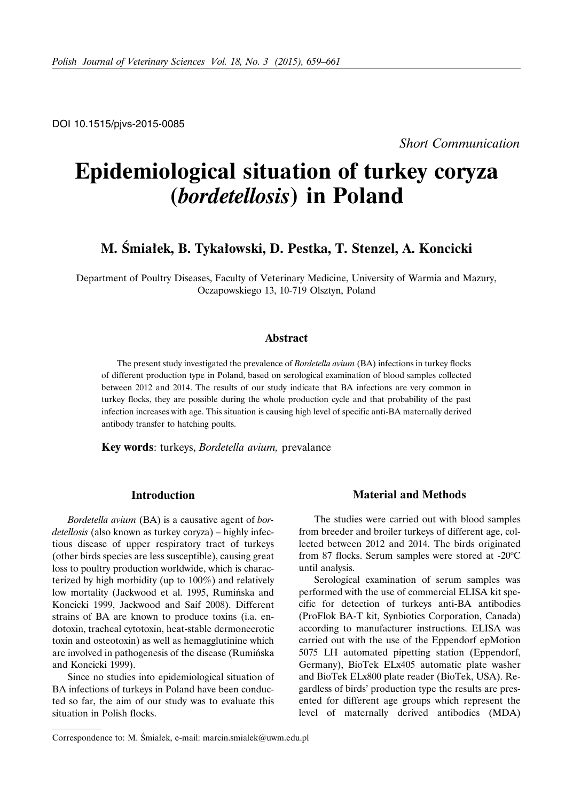DOI 10.1515/pjvs-2015-0085

*Short Communication*

# **Epidemiological situation of turkey coryza (***bordetellosis***) in Poland**

# **M. Śmiałek, B. Tykałowski, D. Pestka, T. Stenzel, A. Koncicki**

Department of Poultry Diseases, Faculty of Veterinary Medicine, University of Warmia and Mazury, Oczapowskiego 13, 10-719 Olsztyn, Poland

#### **Abstract**

The present study investigated the prevalence of *Bordetella avium* (BA) infections in turkey flocks of different production type in Poland, based on serological examination of blood samples collected between 2012 and 2014. The results of our study indicate that BA infections are very common in turkey flocks, they are possible during the whole production cycle and that probability of the past infection increases with age. This situation is causing high level of specific anti-BA maternally derived antibody transfer to hatching poults.

**Key words**: turkeys, *Bordetella avium,* prevalance

### **Introduction**

*Bordetella avium* (BA) is a causative agent of *bordetellosis* (also known as turkey coryza) – highly infectious disease of upper respiratory tract of turkeys (other birds species are less susceptible), causing great loss to poultry production worldwide, which is characterized by high morbidity (up to 100%) and relatively low mortality (Jackwood et al. 1995, Rumińska and Koncicki 1999, Jackwood and Saif 2008). Different strains of BA are known to produce toxins (i.a. endotoxin, tracheal cytotoxin, heat-stable dermonecrotic toxin and osteotoxin) as well as hemagglutinine which are involved in pathogenesis of the disease (Rumińska and Koncicki 1999).

Since no studies into epidemiological situation of BA infections of turkeys in Poland have been conducted so far, the aim of our study was to evaluate this situation in Polish flocks.

### **Material and Methods**

The studies were carried out with blood samples from breeder and broiler turkeys of different age, collected between 2012 and 2014. The birds originated from 87 flocks. Serum samples were stored at -20°C until analysis.

Serological examination of serum samples was performed with the use of commercial ELISA kit specific for detection of turkeys anti-BA antibodies (ProFlok BA-T kit, Synbiotics Corporation, Canada) according to manufacturer instructions. ELISA was carried out with the use of the Eppendorf epMotion 5075 LH automated pipetting station (Eppendorf, Germany), BioTek ELx405 automatic plate washer and BioTek ELx800 plate reader (BioTek, USA). Regardless of birds' production type the results are presented for different age groups which represent the level of maternally derived antibodies (MDA)

Correspondence to: M. Śmiałek, e-mail: marcin.smialek@uwm.edu.pl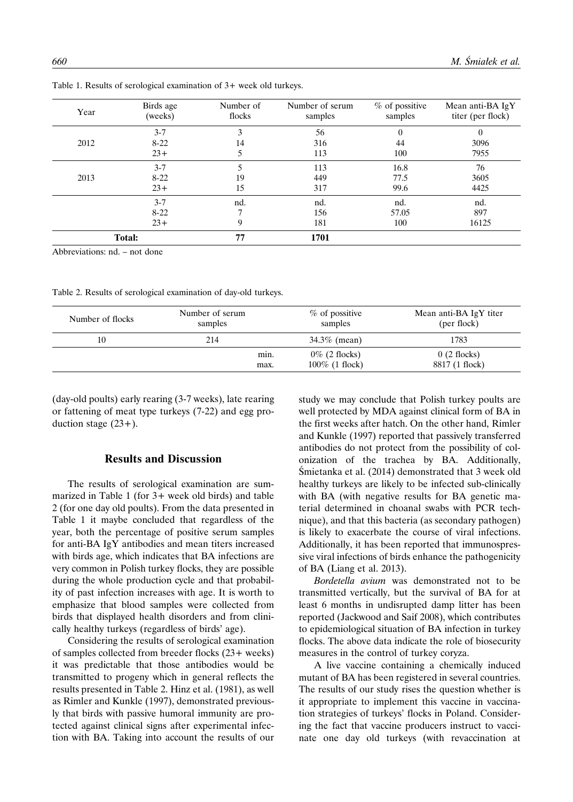| Year | Birds age<br>(weeks) | Number of<br>flocks | Number of serum<br>samples | % of possitive<br>samples | Mean anti-BA IgY<br>titer (per flock) |
|------|----------------------|---------------------|----------------------------|---------------------------|---------------------------------------|
|      | $3 - 7$              | 3                   | 56                         | $\Omega$                  | $\Omega$                              |
| 2012 | $8 - 22$             | 14                  | 316                        | 44                        | 3096                                  |
|      | $23+$                |                     | 113                        | 100                       | 7955                                  |
|      | $3 - 7$              |                     | 113                        | 16.8                      | 76                                    |
| 2013 | $8 - 22$             | 19                  | 449                        | 77.5                      | 3605                                  |
|      | $23+$                | 15                  | 317                        | 99.6                      | 4425                                  |
|      | $3 - 7$              | nd.                 | nd.                        | nd.                       | nd.                                   |
|      | $8 - 22$             |                     | 156                        | 57.05                     | 897                                   |
|      | $23+$                | 9                   | 181                        | 100                       | 16125                                 |
|      | Total:               |                     | 1701                       |                           |                                       |

Table 1. Results of serological examination of 3+ week old turkeys.

Abbreviations: nd. – not done

Table 2. Results of serological examination of day-old turkeys.

| Number of flocks | Number of serum<br>samples |              | % of possitive<br>samples             | Mean anti-BA IgY titer<br>(per flock) |
|------------------|----------------------------|--------------|---------------------------------------|---------------------------------------|
| 10               | 214                        |              | 34.3% (mean)                          | 1783                                  |
|                  |                            | min.<br>max. | $0\%$ (2 flocks)<br>$100\%$ (1 flock) | $0(2$ flocks)<br>8817 (1 flock)       |

(day-old poults) early rearing (3-7 weeks), late rearing or fattening of meat type turkeys (7-22) and egg production stage  $(23+)$ .

## **Results and Discussion**

The results of serological examination are summarized in Table 1 (for 3+ week old birds) and table 2 (for one day old poults). From the data presented in Table 1 it maybe concluded that regardless of the year, both the percentage of positive serum samples for anti-BA IgY antibodies and mean titers increased with birds age, which indicates that BA infections are very common in Polish turkey flocks, they are possible during the whole production cycle and that probability of past infection increases with age. It is worth to emphasize that blood samples were collected from birds that displayed health disorders and from clinically healthy turkeys (regardless of birds' age).

Considering the results of serological examination of samples collected from breeder flocks (23+ weeks) it was predictable that those antibodies would be transmitted to progeny which in general reflects the results presented in Table 2. Hinz et al. (1981), as well as Rimler and Kunkle (1997), demonstrated previously that birds with passive humoral immunity are protected against clinical signs after experimental infection with BA. Taking into account the results of our study we may conclude that Polish turkey poults are well protected by MDA against clinical form of BA in the first weeks after hatch. On the other hand, Rimler and Kunkle (1997) reported that passively transferred antibodies do not protect from the possibility of colonization of the trachea by BA. Additionally, Śmietanka et al. (2014) demonstrated that 3 week old healthy turkeys are likely to be infected sub-clinically with BA (with negative results for BA genetic material determined in choanal swabs with PCR technique), and that this bacteria (as secondary pathogen) is likely to exacerbate the course of viral infections. Additionally, it has been reported that immunospressive viral infections of birds enhance the pathogenicity of BA (Liang et al. 2013).

*Bordetella avium* was demonstrated not to be transmitted vertically, but the survival of BA for at least 6 months in undisrupted damp litter has been reported (Jackwood and Saif 2008), which contributes to epidemiological situation of BA infection in turkey flocks. The above data indicate the role of biosecurity measures in the control of turkey coryza.

A live vaccine containing a chemically induced mutant of BA has been registered in several countries. The results of our study rises the question whether is it appropriate to implement this vaccine in vaccination strategies of turkeys' flocks in Poland. Considering the fact that vaccine producers instruct to vaccinate one day old turkeys (with revaccination at